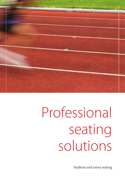

### Professional seating solutions

Stadium and arena seating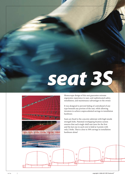## *seat 3S*



Monocoque design of this seat guarantee extreme ergonomic experience to user, and sophisticated safety, installation, and maintenance advantages to the owner.

It was designed to prevent hiding of contraband of any type beneath any portion of the seat, while allowing investors to achieve unprecedented savings in installation hardware.

Seats are fixed to the concrete substrate with high tensile strength bolts. Patented overlapping fixation system ensures that each single-shell seat (save for the first and the last one in each row) is held at 4 points with only 2 bolts. That is close to 50% savings in installation hardware alone!

 $\overline{\mathbf{u}}$ 

 $\mathbb{r}$ 

 $\overline{\mathbf{U}}$ 

 $\overline{\mathbb{I}}$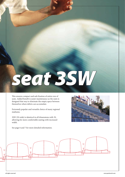## *seat 3SW*

This ensures compact and safe fixation of entire row of seats. Added benefit is easier maintenance as the seats is designed that way to eliminate the empty space between themselves where debris can accumulate.

Extremely popular and versatile choice of many regional stadiums.

3SW (3S wide) is identical in all dimensions with 3S, allowing for more comfortable seating with increased width.

See page 6 and 7 for more detailed information.



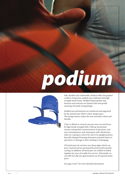## *podium*



Safe, durable and comfortable, Podium offers the greatest comfort of injection molded seat combined with high strength metal frame. Molded Polypropylene seat, backrest and armrests are framed with steel profile ensuring extremely strong design.

Molded seat and backrest are reinforced and supported by the metal frame which is their integral part. This design feature makes the seat extremely robust and durable.

Chair is affixed to vertical concrete risers via steel brace by high tensile strength bolts. Fold-up mechanism ensures unimpeded communication of spectators, and ease of maintenance and cleaning by staff. Mechanism relies on a spring to return the seat to its upright position. Specially designed housing eliminates potential injury to spectators or damage to their clothing or belongings.

All metal parts do not have any sharp edges which can pose a hazard and are permanently protected by powder coating. In addition, all metal part are welded or bolted together for years of trouble free service. Alternately, we can offer hot-dip zinc galvanization on all exposed metal parts.

See page 6 and 7 for more detailed information.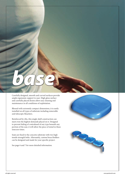# *base*

Carefully designed, smooth and curved surfaces provide ample ergonomic support to user. High gloss surface and carefully placed drains allow easy cleaning and maintenance in all conditions of exploitation.

Blessed with extremely compact dimensions, it is easily installed on all types of substrate including removable and telescopic bleachers.

Reinforced by ribs, this single-shell construction can meet even the highest demands placed on it. Designed to prevent hiding of contraband of any type beneath any portion of the seat, it will allow the piece of mind in these insecure times.

Seats are fixed to the concrete substrate with two high tensile strength bolts. Alternately, custom brace/holders can be designed and made for your specific project.

See page 6 and 7 for more detailed information.



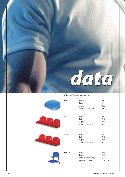

### All stated dimensions in mm:

| Base   | width<br>height<br>depth<br>axial distance (min)           | 430<br>$70\,$<br>360<br>480    |
|--------|------------------------------------------------------------|--------------------------------|
| 3S     | width<br>height<br>depth<br>axial distance (fix)           | 430<br>310<br>410<br>480       |
| 3SW    | width<br>height<br>depth<br>axial distance (fix)           | 430<br>310<br>415<br>485       |
| Podium | width<br>height<br>axial distance (fix)<br>opened / closed | 494<br>607<br>500<br>504 / 282 |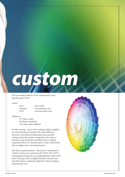### *custom*

All our seating products can be customized to your specific project with:

### Colors:

RAL® www.ral.de Pantone® www.pantone.com

NCS® www.ncscolour.com

### Additives:

UV (ultra violet) FR (flame retardant) ASA (anti-static additive)

Powder coating - a type of dry coating, which is applied as a free-flowing, dry powder. The main difference between a conventional liquid paint and a powder coating is that the powder coating does not require a solvent to keep the binder and filler parts in a liquid suspension form. It is usually used to create a hard finish that is tougher than conventional paint.

Hot-dip zinc galvanization - The article is immersed in a bath of molten zinc at between 815-850°F (435-455°C). During galvanizing, the zinc metallurgically bonds to the steel, creating a series of highly abrasion-resistant zinciron alloy layers, commonly topped by a layer of impactresistant pure zinc.